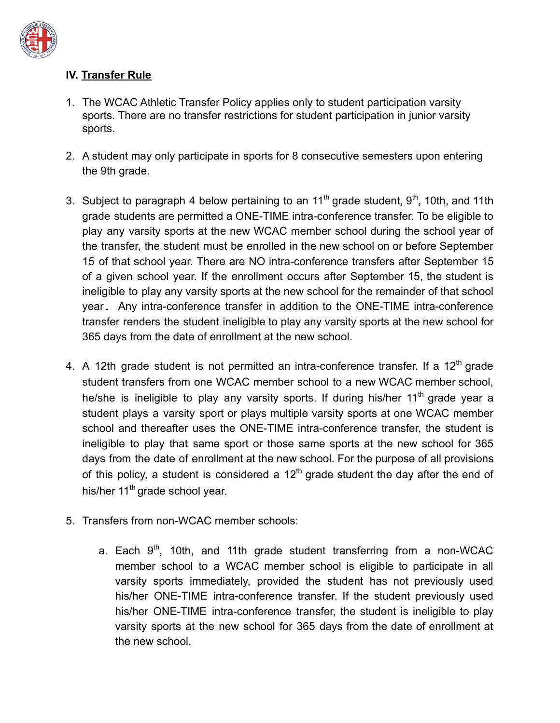

## **IV. Transfer Rule**

- 1. The WCAC Athletic Transfer Policy applies only to student participation varsity sports. There are no transfer restrictions for student participation in junior varsity sports.
- 2. A student may only participate in sports for 8 consecutive semesters upon entering the 9th grade.
- 3. Subject to paragraph 4 below pertaining to an  $11<sup>th</sup>$  grade student,  $9<sup>th</sup>$ , 10th, and 11th grade students are permitted a ONE-TIME intra-conference transfer. To be eligible to play any varsity sports at the new WCAC member school during the school year of the transfer, the student must be enrolled in the new school on or before September 15 of that school year. There are NO intra-conference transfers after September 15 of a given school year. If the enrollment occurs after September 15, the student is ineligible to play any varsity sports at the new school for the remainder of that school year*.* Any intra-conference transfer in addition to the ONE-TIME intra-conference transfer renders the student ineligible to play any varsity sports at the new school for 365 days from the date of enrollment at the new school.
- 4. A 12th grade student is not permitted an intra-conference transfer. If a  $12<sup>th</sup>$  grade student transfers from one WCAC member school to a new WCAC member school, he/she is ineligible to play any varsity sports. If during his/her 11<sup>th</sup> grade year a student plays a varsity sport or plays multiple varsity sports at one WCAC member school and thereafter uses the ONE-TIME intra-conference transfer, the student is ineligible to play that same sport or those same sports at the new school for 365 days from the date of enrollment at the new school. For the purpose of all provisions of this policy, a student is considered a  $12<sup>th</sup>$  grade student the day after the end of his/her 11<sup>th</sup> grade school year.
- 5. Transfers from non-WCAC member schools:
	- a. Each  $9<sup>th</sup>$ , 10th, and 11th grade student transferring from a non-WCAC member school to a WCAC member school is eligible to participate in all varsity sports immediately, provided the student has not previously used his/her ONE-TIME intra-conference transfer. If the student previously used his/her ONE-TIME intra-conference transfer, the student is ineligible to play varsity sports at the new school for 365 days from the date of enrollment at the new school.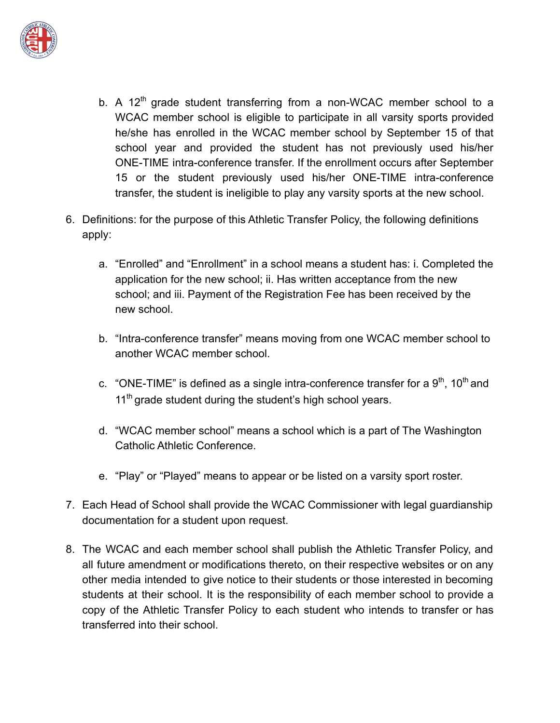

- b. A 12<sup>th</sup> grade student transferring from a non-WCAC member school to a WCAC member school is eligible to participate in all varsity sports provided he/she has enrolled in the WCAC member school by September 15 of that school year and provided the student has not previously used his/her ONE-TIME intra-conference transfer. If the enrollment occurs after September 15 or the student previously used his/her ONE-TIME intra-conference transfer, the student is ineligible to play any varsity sports at the new school.
- 6. Definitions: for the purpose of this Athletic Transfer Policy, the following definitions apply:
	- a. "Enrolled" and "Enrollment" in a school means a student has: i. Completed the application for the new school; ii. Has written acceptance from the new school; and iii. Payment of the Registration Fee has been received by the new school.
	- b. "Intra-conference transfer" means moving from one WCAC member school to another WCAC member school.
	- c. "ONE-TIME" is defined as a single intra-conference transfer for a  $9<sup>th</sup>$ , 10<sup>th</sup> and 11<sup>th</sup> grade student during the student's high school years.
	- d. "WCAC member school" means a school which is a part of The Washington Catholic Athletic Conference.
	- e. "Play" or "Played" means to appear or be listed on a varsity sport roster.
- 7. Each Head of School shall provide the WCAC Commissioner with legal guardianship documentation for a student upon request.
- 8. The WCAC and each member school shall publish the Athletic Transfer Policy, and all future amendment or modifications thereto, on their respective websites or on any other media intended to give notice to their students or those interested in becoming students at their school. It is the responsibility of each member school to provide a copy of the Athletic Transfer Policy to each student who intends to transfer or has transferred into their school.